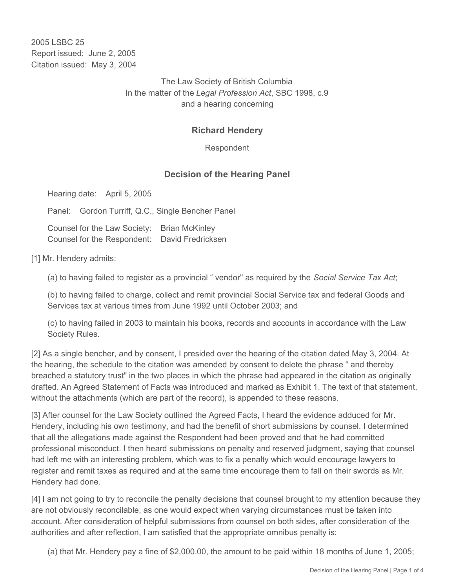2005 LSBC 25 Report issued: June 2, 2005 Citation issued: May 3, 2004

> The Law Society of British Columbia In the matter of the *Legal Profession Act*, SBC 1998, c.9 and a hearing concerning

## **Richard Hendery**

Respondent

## **Decision of the Hearing Panel**

Hearing date: April 5, 2005

Panel: Gordon Turriff, Q.C., Single Bencher Panel

Counsel for the Law Society: Brian McKinley Counsel for the Respondent: David Fredricksen

[1] Mr. Hendery admits:

(a) to having failed to register as a provincial " vendor" as required by the *Social Service Tax Act*;

(b) to having failed to charge, collect and remit provincial Social Service tax and federal Goods and Services tax at various times from June 1992 until October 2003; and

(c) to having failed in 2003 to maintain his books, records and accounts in accordance with the Law Society Rules.

[2] As a single bencher, and by consent, I presided over the hearing of the citation dated May 3, 2004. At the hearing, the schedule to the citation was amended by consent to delete the phrase " and thereby breached a statutory trust" in the two places in which the phrase had appeared in the citation as originally drafted. An Agreed Statement of Facts was introduced and marked as Exhibit 1. The text of that statement, without the attachments (which are part of the record), is appended to these reasons.

[3] After counsel for the Law Society outlined the Agreed Facts, I heard the evidence adduced for Mr. Hendery, including his own testimony, and had the benefit of short submissions by counsel. I determined that all the allegations made against the Respondent had been proved and that he had committed professional misconduct. I then heard submissions on penalty and reserved judgment, saying that counsel had left me with an interesting problem, which was to fix a penalty which would encourage lawyers to register and remit taxes as required and at the same time encourage them to fall on their swords as Mr. Hendery had done.

[4] I am not going to try to reconcile the penalty decisions that counsel brought to my attention because they are not obviously reconcilable, as one would expect when varying circumstances must be taken into account. After consideration of helpful submissions from counsel on both sides, after consideration of the authorities and after reflection, I am satisfied that the appropriate omnibus penalty is:

(a) that Mr. Hendery pay a fine of \$2,000.00, the amount to be paid within 18 months of June 1, 2005;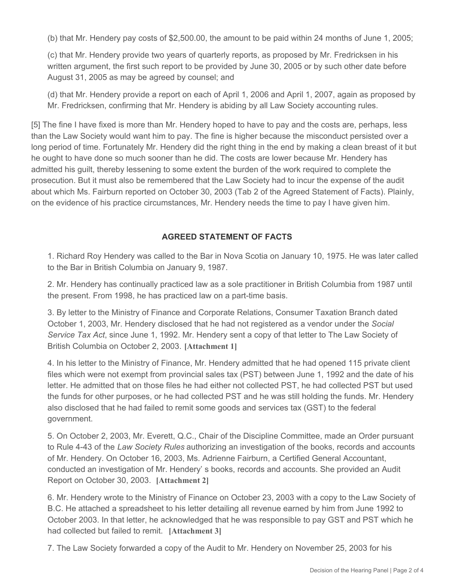(b) that Mr. Hendery pay costs of \$2,500.00, the amount to be paid within 24 months of June 1, 2005;

(c) that Mr. Hendery provide two years of quarterly reports, as proposed by Mr. Fredricksen in his written argument, the first such report to be provided by June 30, 2005 or by such other date before August 31, 2005 as may be agreed by counsel; and

(d) that Mr. Hendery provide a report on each of April 1, 2006 and April 1, 2007, again as proposed by Mr. Fredricksen, confirming that Mr. Hendery is abiding by all Law Society accounting rules.

[5] The fine I have fixed is more than Mr. Hendery hoped to have to pay and the costs are, perhaps, less than the Law Society would want him to pay. The fine is higher because the misconduct persisted over a long period of time. Fortunately Mr. Hendery did the right thing in the end by making a clean breast of it but he ought to have done so much sooner than he did. The costs are lower because Mr. Hendery has admitted his guilt, thereby lessening to some extent the burden of the work required to complete the prosecution. But it must also be remembered that the Law Society had to incur the expense of the audit about which Ms. Fairburn reported on October 30, 2003 (Tab 2 of the Agreed Statement of Facts). Plainly, on the evidence of his practice circumstances, Mr. Hendery needs the time to pay I have given him.

## **AGREED STATEMENT OF FACTS**

1. Richard Roy Hendery was called to the Bar in Nova Scotia on January 10, 1975. He was later called to the Bar in British Columbia on January 9, 1987.

2. Mr. Hendery has continually practiced law as a sole practitioner in British Columbia from 1987 until the present. From 1998, he has practiced law on a part-time basis.

3. By letter to the Ministry of Finance and Corporate Relations, Consumer Taxation Branch dated October 1, 2003, Mr. Hendery disclosed that he had not registered as a vendor under the *Social Service Tax Act*, since June 1, 1992. Mr. Hendery sent a copy of that letter to The Law Society of British Columbia on October 2, 2003. **[Attachment 1]**

4. In his letter to the Ministry of Finance, Mr. Hendery admitted that he had opened 115 private client files which were not exempt from provincial sales tax (PST) between June 1, 1992 and the date of his letter. He admitted that on those files he had either not collected PST, he had collected PST but used the funds for other purposes, or he had collected PST and he was still holding the funds. Mr. Hendery also disclosed that he had failed to remit some goods and services tax (GST) to the federal government.

5. On October 2, 2003, Mr. Everett, Q.C., Chair of the Discipline Committee, made an Order pursuant to Rule 4-43 of the *Law Society Rules* authorizing an investigation of the books, records and accounts of Mr. Hendery. On October 16, 2003, Ms. Adrienne Fairburn, a Certified General Accountant, conducted an investigation of Mr. Hendery' s books, records and accounts. She provided an Audit Report on October 30, 2003. **[Attachment 2]**

6. Mr. Hendery wrote to the Ministry of Finance on October 23, 2003 with a copy to the Law Society of B.C. He attached a spreadsheet to his letter detailing all revenue earned by him from June 1992 to October 2003. In that letter, he acknowledged that he was responsible to pay GST and PST which he had collected but failed to remit. **[Attachment 3]**

7. The Law Society forwarded a copy of the Audit to Mr. Hendery on November 25, 2003 for his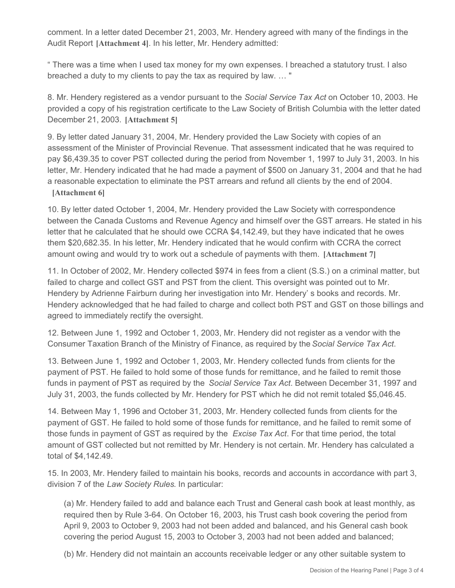comment. In a letter dated December 21, 2003, Mr. Hendery agreed with many of the findings in the Audit Report **[Attachment 4]**. In his letter, Mr. Hendery admitted:

" There was a time when I used tax money for my own expenses. I breached a statutory trust. I also breached a duty to my clients to pay the tax as required by law. … "

8. Mr. Hendery registered as a vendor pursuant to the *Social Service Tax Act* on October 10, 2003. He provided a copy of his registration certificate to the Law Society of British Columbia with the letter dated December 21, 2003. **[Attachment 5]**

9. By letter dated January 31, 2004, Mr. Hendery provided the Law Society with copies of an assessment of the Minister of Provincial Revenue. That assessment indicated that he was required to pay \$6,439.35 to cover PST collected during the period from November 1, 1997 to July 31, 2003. In his letter, Mr. Hendery indicated that he had made a payment of \$500 on January 31, 2004 and that he had a reasonable expectation to eliminate the PST arrears and refund all clients by the end of 2004.

## **[Attachment 6]**

10. By letter dated October 1, 2004, Mr. Hendery provided the Law Society with correspondence between the Canada Customs and Revenue Agency and himself over the GST arrears. He stated in his letter that he calculated that he should owe CCRA \$4,142.49, but they have indicated that he owes them \$20,682.35. In his letter, Mr. Hendery indicated that he would confirm with CCRA the correct amount owing and would try to work out a schedule of payments with them. **[Attachment 7]**

11. In October of 2002, Mr. Hendery collected \$974 in fees from a client (S.S.) on a criminal matter, but failed to charge and collect GST and PST from the client. This oversight was pointed out to Mr. Hendery by Adrienne Fairburn during her investigation into Mr. Hendery' s books and records. Mr. Hendery acknowledged that he had failed to charge and collect both PST and GST on those billings and agreed to immediately rectify the oversight.

12. Between June 1, 1992 and October 1, 2003, Mr. Hendery did not register as a vendor with the Consumer Taxation Branch of the Ministry of Finance, as required by the *Social Service Tax Act*.

13. Between June 1, 1992 and October 1, 2003, Mr. Hendery collected funds from clients for the payment of PST. He failed to hold some of those funds for remittance, and he failed to remit those funds in payment of PST as required by the *Social Service Tax Act*. Between December 31, 1997 and July 31, 2003, the funds collected by Mr. Hendery for PST which he did not remit totaled \$5,046.45.

14. Between May 1, 1996 and October 31, 2003, Mr. Hendery collected funds from clients for the payment of GST. He failed to hold some of those funds for remittance, and he failed to remit some of those funds in payment of GST as required by the *Excise Tax Act*. For that time period, the total amount of GST collected but not remitted by Mr. Hendery is not certain. Mr. Hendery has calculated a total of \$4,142.49.

15. In 2003, Mr. Hendery failed to maintain his books, records and accounts in accordance with part 3, division 7 of the *Law Society Rules*. In particular:

(a) Mr. Hendery failed to add and balance each Trust and General cash book at least monthly, as required then by Rule 3-64. On October 16, 2003, his Trust cash book covering the period from April 9, 2003 to October 9, 2003 had not been added and balanced, and his General cash book covering the period August 15, 2003 to October 3, 2003 had not been added and balanced;

(b) Mr. Hendery did not maintain an accounts receivable ledger or any other suitable system to